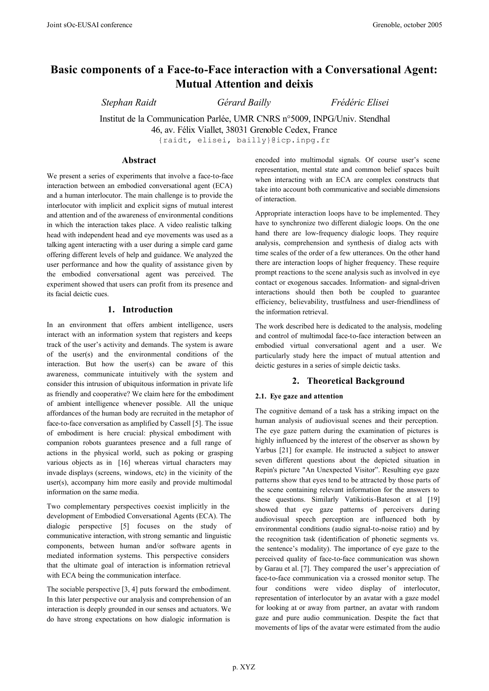# **Basic components of a Face-to-Face interaction with a Conversational Agent: Mutual Attention and deixis**

*Stephan Raidt Gérard Bailly Frédéric Elisei*

Institut de la Communication Parlée, UMR CNRS n°5009, INPG/Univ. Stendhal 46, av. Félix Viallet, 38031 Grenoble Cedex, France {raidt, elisei, bailly}@icp.inpg.fr

#### **Abstract**

We present a series of experiments that involve a face-to-face interaction between an embodied conversational agent (ECA) and a human interlocutor. The main challenge is to provide the interlocutor with implicit and explicit signs of mutual interest and attention and of the awareness of environmental conditions in which the interaction takes place. A video realistic talking head with independent head and eye movements was used as a talking agent interacting with a user during a simple card game offering different levels of help and guidance. We analyzed the user performance and how the quality of assistance given by the embodied conversational agent was perceived. The experiment showed that users can profit from its presence and its facial deictic cues.

# **1. Introduction**

In an environment that offers ambient intelligence, users interact with an information system that registers and keeps track of the user's activity and demands. The system is aware of the user(s) and the environmental conditions of the interaction. But how the user(s) can be aware of this awareness, communicate intuitively with the system and consider this intrusion of ubiquitous information in private life as friendly and cooperative? We claim here for the embodiment of ambient intelligence whenever possible. All the unique affordances of the human body are recruited in the metaphor of face-to-face conversation as amplified by Cassell [5]. The issue of embodiment is here crucial: physical embodiment with companion robots guarantees presence and a full range of actions in the physical world, such as poking or grasping various objects as in [16] whereas virtual characters may invade displays (screens, windows, etc) in the vicinity of the user(s), accompany him more easily and provide multimodal information on the same media.

Two complementary perspectives coexist implicitly in the development of Embodied Conversational Agents (ECA). The dialogic perspective [5] focuses on the study of communicative interaction, with strong semantic and linguistic components, between human and/or software agents in mediated information systems. This perspective considers that the ultimate goal of interaction is information retrieval with ECA being the communication interface.

The sociable perspective [3, 4] puts forward the embodiment. In this later perspective our analysis and comprehension of an interaction is deeply grounded in our senses and actuators. We do have strong expectations on how dialogic information is encoded into multimodal signals. Of course user's scene representation, mental state and common belief spaces built when interacting with an ECA are complex constructs that take into account both communicative and sociable dimensions of interaction.

Appropriate interaction loops have to be implemented. They have to synchronize two different dialogic loops. On the one hand there are low-frequency dialogic loops. They require analysis, comprehension and synthesis of dialog acts with time scales of the order of a few utterances. On the other hand there are interaction loops of higher frequency. These require prompt reactions to the scene analysis such as involved in eye contact or exogenous saccades. Information- and signal-driven interactions should then both be coupled to guarantee efficiency, believability, trustfulness and user-friendliness of the information retrieval.

The work described here is dedicated to the analysis, modeling and control of multimodal face-to-face interaction between an embodied virtual conversational agent and a user. We particularly study here the impact of mutual attention and deictic gestures in a series of simple deictic tasks.

# **2. Theoretical Background**

# **2.1. Eye gaze and attention**

The cognitive demand of a task has a striking impact on the human analysis of audiovisual scenes and their perception. The eye gaze pattern during the examination of pictures is highly influenced by the interest of the observer as shown by Yarbus [21] for example. He instructed a subject to answer seven different questions about the depicted situation in Repin's picture "An Unexpected Visitor". Resulting eye gaze patterns show that eyes tend to be attracted by those parts of the scene containing relevant information for the answers to these questions. Similarly Vatikiotis-Bateson et al [19] showed that eye gaze patterns of perceivers during audiovisual speech perception are influenced both by environmental conditions (audio signal-to-noise ratio) and by the recognition task (identification of phonetic segments vs. the sentence's modality). The importance of eye gaze to the perceived quality of face-to-face communication was shown by Garau et al. [7]. They compared the user's appreciation of face-to-face communication via a crossed monitor setup. The four conditions were video display of interlocutor, representation of interlocutor by an avatar with a gaze model for looking at or away from partner, an avatar with random gaze and pure audio communication. Despite the fact that movements of lips of the avatar were estimated from the audio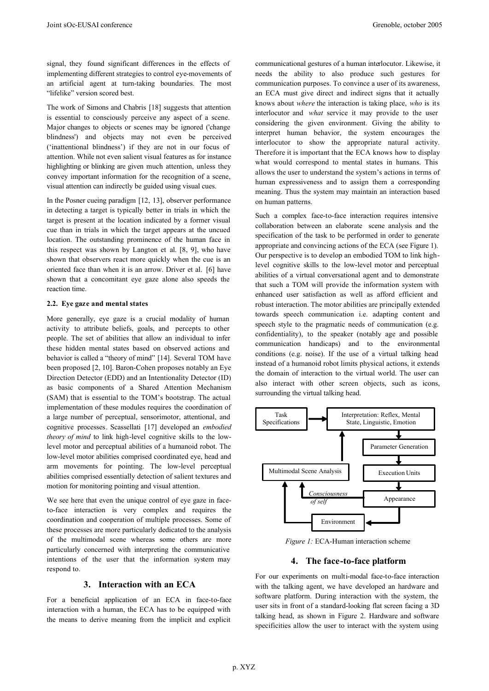signal, they found significant differences in the effects of implementing different strategies to control eye-movements of an artificial agent at turn-taking boundaries. The most "lifelike" version scored best.

The work of Simons and Chabris [18] suggests that attention is essential to consciously perceive any aspect of a scene. Major changes to objects or scenes may be ignored ('change blindness') and objects may not even be perceived ('inattentional blindness') if they are not in our focus of attention. While not even salient visual features as for instance highlighting or blinking are given much attention, unless they convey important information for the recognition of a scene, visual attention can indirectly be guided using visual cues.

In the Posner cueing paradigm [12, 13], observer performance in detecting a target is typically better in trials in which the target is present at the location indicated by a former visual cue than in trials in which the target appears at the uncued location. The outstanding prominence of the human face in this respect was shown by Langton et al. [8, 9], who have shown that observers react more quickly when the cue is an oriented face than when it is an arrow. Driver et al. [6] have shown that a concomitant eye gaze alone also speeds the reaction time.

#### **2.2. Eye gaze and mental states**

More generally, eye gaze is a crucial modality of human activity to attribute beliefs, goals, and percepts to other people. The set of abilities that allow an individual to infer these hidden mental states based on observed actions and behavior is called a "theory of mind" [14]. Several TOM have been proposed [2, 10]. Baron-Cohen proposes notably an Eye Direction Detector (EDD) and an Intentionality Detector (ID) as basic components of a Shared Attention Mechanism (SAM) that is essential to the TOM's bootstrap. The actual implementation of these modules requires the coordination of a large number of perceptual, sensorimotor, attentional, and cognitive processes. Scassellati [17] developed an *embodied theory of mind* to link high-level cognitive skills to the lowlevel motor and perceptual abilities of a humanoid robot. The low-level motor abilities comprised coordinated eye, head and arm movements for pointing. The low-level perceptual abilities comprised essentially detection of salient textures and motion for monitoring pointing and visual attention.

We see here that even the unique control of eye gaze in faceto-face interaction is very complex and requires the coordination and cooperation of multiple processes. Some of these processes are more particularly dedicated to the analysis of the multimodal scene whereas some others are more particularly concerned with interpreting the communicative intentions of the user that the information system may respond to.

# **3. Interaction with an ECA**

For a beneficial application of an ECA in face-to-face interaction with a human, the ECA has to be equipped with the means to derive meaning from the implicit and explicit

communicational gestures of a human interlocutor. Likewise, it needs the ability to also produce such gestures for communication purposes. To convince a user of its awareness, an ECA must give direct and indirect signs that it actually knows about *where* the interaction is taking place, *who* is its interlocutor and *what* service it may provide to the user considering the given environment. Giving the ability to interpret human behavior, the system encourages the interlocutor to show the appropriate natural activity. Therefore it is important that the ECA knows how to display what would correspond to mental states in humans. This allows the user to understand the system's actions in terms of human expressiveness and to assign them a corresponding meaning. Thus the system may maintain an interaction based on human patterns.

Such a complex face-to-face interaction requires intensive collaboration between an elaborate scene analysis and the specification of the task to be performed in order to generate appropriate and convincing actions of the ECA (see Figure 1). Our perspective is to develop an embodied TOM to link highlevel cognitive skills to the low-level motor and perceptual abilities of a virtual conversational agent and to demonstrate that such a TOM will provide the information system with enhanced user satisfaction as well as afford efficient and robust interaction. The motor abilities are principally extended towards speech communication i.e. adapting content and speech style to the pragmatic needs of communication (e.g. confidentiality), to the speaker (notably age and possible communication handicaps) and to the environmental conditions (e.g. noise). If the use of a virtual talking head instead of a humanoid robot limits physical actions, it extends the domain of interaction to the virtual world. The user can also interact with other screen objects, such as icons, surrounding the virtual talking head.



*Figure 1:* ECA-Human interaction scheme

# **4. The face-to-face platform**

For our experiments on multi-modal face-to-face interaction with the talking agent, we have developed an hardware and software platform. During interaction with the system, the user sits in front of a standard-looking flat screen facing a 3D talking head, as shown in Figure 2. Hardware and software specificities allow the user to interact with the system using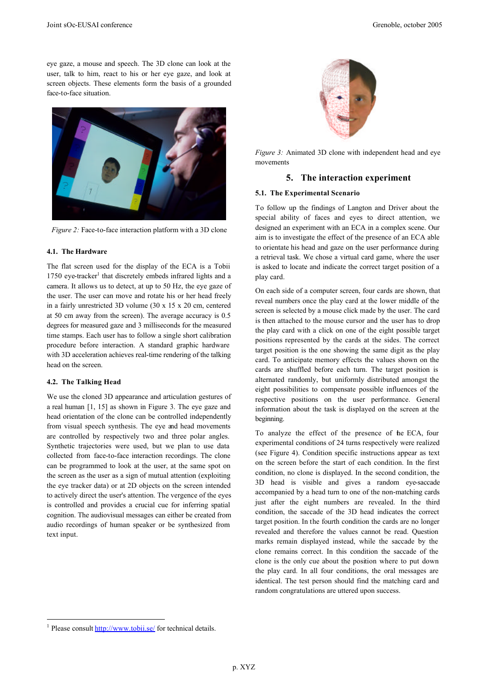eye gaze, a mouse and speech. The 3D clone can look at the user, talk to him, react to his or her eye gaze, and look at screen objects. These elements form the basis of a grounded face-to-face situation.



*Figure 2:* Face-to-face interaction platform with a 3D clone

# **4.1. The Hardware**

The flat screen used for the display of the ECA is a Tobii 1750 eye-tracker<sup>1</sup> that discretely embeds infrared lights and a camera. It allows us to detect, at up to 50 Hz, the eye gaze of the user. The user can move and rotate his or her head freely in a fairly unrestricted 3D volume (30 x 15 x 20 cm, centered at 50 cm away from the screen). The average accuracy is 0.5 degrees for measured gaze and 3 milliseconds for the measured time stamps. Each user has to follow a single short calibration procedure before interaction. A standard graphic hardware with 3D acceleration achieves real-time rendering of the talking head on the screen.

# **4.2. The Talking Head**

 $\overline{a}$ 

We use the cloned 3D appearance and articulation gestures of a real human [1, 15] as shown in Figure 3. The eye gaze and head orientation of the clone can be controlled independently from visual speech synthesis. The eye and head movements are controlled by respectively two and three polar angles. Synthetic trajectories were used, but we plan to use data collected from face-to-face interaction recordings. The clone can be programmed to look at the user, at the same spot on the screen as the user as a sign of mutual attention (exploiting the eye tracker data) or at 2D objects on the screen intended to actively direct the user's attention. The vergence of the eyes is controlled and provides a crucial cue for inferring spatial cognition. The audiovisual messages can either be created from audio recordings of human speaker or be synthesized from text input.



*Figure 3:* Animated 3D clone with independent head and eye movements

# **5. The interaction experiment**

# **5.1. The Experimental Scenario**

To follow up the findings of Langton and Driver about the special ability of faces and eyes to direct attention, we designed an experiment with an ECA in a complex scene. Our aim is to investigate the effect of the presence of an ECA able to orientate his head and gaze on the user performance during a retrieval task. We chose a virtual card game, where the user is asked to locate and indicate the correct target position of a play card.

On each side of a computer screen, four cards are shown, that reveal numbers once the play card at the lower middle of the screen is selected by a mouse click made by the user. The card is then attached to the mouse cursor and the user has to drop the play card with a click on one of the eight possible target positions represented by the cards at the sides. The correct target position is the one showing the same digit as the play card. To anticipate memory effects the values shown on the cards are shuffled before each turn. The target position is alternated randomly, but uniformly distributed amongst the eight possibilities to compensate possible influences of the respective positions on the user performance. General information about the task is displayed on the screen at the beginning.

To analyze the effect of the presence of the ECA, four experimental conditions of 24 turns respectively were realized (see Figure 4). Condition specific instructions appear as text on the screen before the start of each condition. In the first condition, no clone is displayed. In the second condition, the 3D head is visible and gives a random eye-saccade accompanied by a head turn to one of the non-matching cards just after the eight numbers are revealed. In the third condition, the saccade of the 3D head indicates the correct target position. In the fourth condition the cards are no longer revealed and therefore the values cannot be read. Question marks remain displayed instead, while the saccade by the clone remains correct. In this condition the saccade of the clone is the only cue about the position where to put down the play card. In all four conditions, the oral messages are identical. The test person should find the matching card and random congratulations are uttered upon success.

<sup>&</sup>lt;sup>1</sup> Please consult http://www.tobii.se/ for technical details.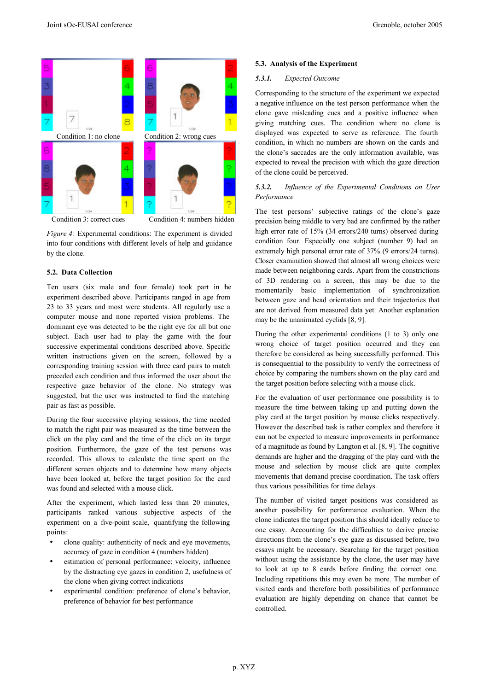

Condition 3: correct cues Condition 4: numbers hidden

*Figure 4:* Experimental conditions: The experiment is divided into four conditions with different levels of help and guidance by the clone.

#### **5.2. Data Collection**

Ten users (six male and four female) took part in the experiment described above. Participants ranged in age from 23 to 33 years and most were students. All regularly use a computer mouse and none reported vision problems. The dominant eye was detected to be the right eye for all but one subject. Each user had to play the game with the four successive experimental conditions described above. Specific written instructions given on the screen, followed by a corresponding training session with three card pairs to match preceded each condition and thus informed the user about the respective gaze behavior of the clone. No strategy was suggested, but the user was instructed to find the matching pair as fast as possible.

During the four successive playing sessions, the time needed to match the right pair was measured as the time between the click on the play card and the time of the click on its target position. Furthermore, the gaze of the test persons was recorded. This allows to calculate the time spent on the different screen objects and to determine how many objects have been looked at, before the target position for the card was found and selected with a mouse click.

After the experiment, which lasted less than 20 minutes, participants ranked various subjective aspects of the experiment on a five-point scale, quantifying the following points:

- clone quality: authenticity of neck and eye movements, accuracy of gaze in condition 4 (numbers hidden)
- estimation of personal performance: velocity, influence by the distracting eye gazes in condition 2, usefulness of the clone when giving correct indications
- experimental condition: preference of clone's behavior, preference of behavior for best performance

#### **5.3. Analysis of the Experiment**

#### *5.3.1. Expected Outcome*

Corresponding to the structure of the experiment we expected a negative influence on the test person performance when the clone gave misleading cues and a positive influence when giving matching cues. The condition where no clone is displayed was expected to serve as reference. The fourth condition, in which no numbers are shown on the cards and the clone's saccades are the only information available, was expected to reveal the precision with which the gaze direction of the clone could be perceived.

# *5.3.2. Influence of the Experimental Conditions on User Performance*

The test persons' subjective ratings of the clone's gaze precision being middle to very bad are confirmed by the rather high error rate of 15% (34 errors/240 turns) observed during condition four. Especially one subject (number 9) had an extremely high personal error rate of 37% (9 errors/24 turns). Closer examination showed that almost all wrong choices were made between neighboring cards. Apart from the constrictions of 3D rendering on a screen, this may be due to the momentarily basic implementation of synchronization between gaze and head orientation and their trajectories that are not derived from measured data yet. Another explanation may be the unanimated eyelids [8, 9].

During the other experimental conditions (1 to 3) only one wrong choice of target position occurred and they can therefore be considered as being successfully performed. This is consequential to the possibility to verify the correctness of choice by comparing the numbers shown on the play card and the target position before selecting with a mouse click.

For the evaluation of user performance one possibility is to measure the time between taking up and putting down the play card at the target position by mouse clicks respectively. However the described task is rather complex and therefore it can not be expected to measure improvements in performance of a magnitude as found by Langton et al. [8, 9]. The cognitive demands are higher and the dragging of the play card with the mouse and selection by mouse click are quite complex movements that demand precise coordination. The task offers thus various possibilities for time delays.

The number of visited target positions was considered as another possibility for performance evaluation. When the clone indicates the target position this should ideally reduce to one essay. Accounting for the difficulties to derive precise directions from the clone's eye gaze as discussed before, two essays might be necessary. Searching for the target position without using the assistance by the clone, the user may have to look at up to 8 cards before finding the correct one. Including repetitions this may even be more. The number of visited cards and therefore both possibilities of performance evaluation are highly depending on chance that cannot be controlled.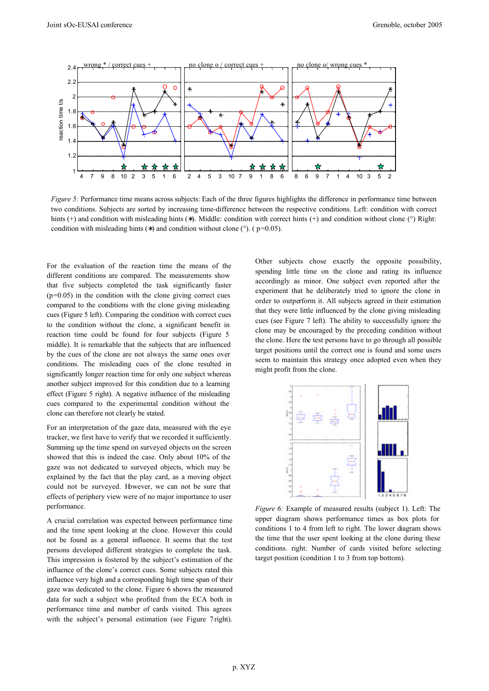

*Figure 5:* Performance time means across subjects: Each of the three figures highlights the difference in performance time between two conditions. Subjects are sorted by increasing time-difference between the respective conditions. Left: condition with correct hints (+) and condition with misleading hints (∗). Middle: condition with correct hints (+) and condition without clone (°) Right: condition with misleading hints (\*) and condition without clone (°). ( $p=0.05$ ).

For the evaluation of the reaction time the means of the different conditions are compared. The measurements show that five subjects completed the task significantly faster  $(p=0.05)$  in the condition with the clone giving correct cues compared to the conditions with the clone giving misleading cues (Figure 5 left). Comparing the condition with correct cues to the condition without the clone, a significant benefit in reaction time could be found for four subjects (Figure 5 middle). It is remarkable that the subjects that are influenced by the cues of the clone are not always the same ones over conditions. The misleading cues of the clone resulted in significantly longer reaction time for only one subject whereas another subject improved for this condition due to a learning effect (Figure 5 right). A negative influence of the misleading cues compared to the experimental condition without the clone can therefore not clearly be stated.

For an interpretation of the gaze data, measured with the eye tracker, we first have to verify that we recorded it sufficiently. Summing up the time spend on surveyed objects on the screen showed that this is indeed the case. Only about 10% of the gaze was not dedicated to surveyed objects, which may be explained by the fact that the play card, as a moving object could not be surveyed. However, we can not be sure that effects of periphery view were of no major importance to user performance.

A crucial correlation was expected between performance time and the time spent looking at the clone. However this could not be found as a general influence. It seems that the test persons developed different strategies to complete the task. This impression is fostered by the subject's estimation of the influence of the clone's correct cues. Some subjects rated this influence very high and a corresponding high time span of their gaze was dedicated to the clone. Figure 6 shows the measured data for such a subject who profited from the ECA both in performance time and number of cards visited. This agrees with the subject's personal estimation (see Figure 7 right).

Other subjects chose exactly the opposite possibility, spending little time on the clone and rating its influence accordingly as minor. One subject even reported after the experiment that he deliberately tried to ignore the clone in order to outperform it. All subjects agreed in their estimation that they were little influenced by the clone giving misleading cues (see Figure 7 left). The ability to successfully ignore the clone may be encouraged by the preceding condition without the clone. Here the test persons have to go through all possible target positions until the correct one is found and some users seem to maintain this strategy once adopted even when they might profit from the clone.



*Figure 6:* Example of measured results (subject 1). Left: The upper diagram shows performance times as box plots for conditions 1 to 4 from left to right. The lower diagram shows the time that the user spent looking at the clone during these conditions. right: Number of cards visited before selecting target position (condition 1 to 3 from top bottom).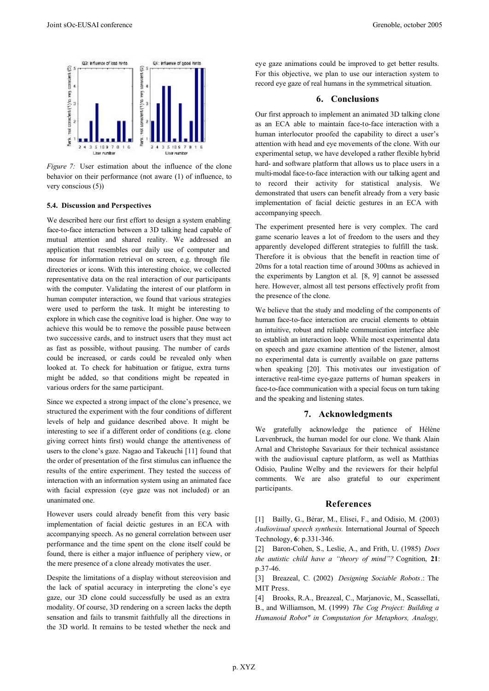

*Figure 7:* User estimation about the influence of the clone behavior on their performance (not aware (1) of influence, to very conscious (5))

#### **5.4. Discussion and Perspectives**

We described here our first effort to design a system enabling face-to-face interaction between a 3D talking head capable of mutual attention and shared reality. We addressed an application that resembles our daily use of computer and mouse for information retrieval on screen, e.g. through file directories or icons. With this interesting choice, we collected representative data on the real interaction of our participants with the computer. Validating the interest of our platform in human computer interaction, we found that various strategies were used to perform the task. It might be interesting to explore in which case the cognitive load is higher. One way to achieve this would be to remove the possible pause between two successive cards, and to instruct users that they must act as fast as possible, without pausing. The number of cards could be increased, or cards could be revealed only when looked at. To check for habituation or fatigue, extra turns might be added, so that conditions might be repeated in various orders for the same participant.

Since we expected a strong impact of the clone's presence, we structured the experiment with the four conditions of different levels of help and guidance described above. It might be interesting to see if a different order of conditions (e.g. clone giving correct hints first) would change the attentiveness of users to the clone's gaze. Nagao and Takeuchi [11] found that the order of presentation of the first stimulus can influence the results of the entire experiment. They tested the success of interaction with an information system using an animated face with facial expression (eye gaze was not included) or an unanimated one.

However users could already benefit from this very basic implementation of facial deictic gestures in an ECA with accompanying speech. As no general correlation between user performance and the time spent on the clone itself could be found, there is either a major influence of periphery view, or the mere presence of a clone already motivates the user.

Despite the limitations of a display without stereovision and the lack of spatial accuracy in interpreting the clone's eye gaze, our 3D clone could successfully be used as an extra modality. Of course, 3D rendering on a screen lacks the depth sensation and fails to transmit faithfully all the directions in the 3D world. It remains to be tested whether the neck and

eye gaze animations could be improved to get better results. For this objective, we plan to use our interaction system to record eye gaze of real humans in the symmetrical situation.

# **6. Conclusions**

Our first approach to implement an animated 3D talking clone as an ECA able to maintain face-to-face interaction with a human interlocutor proofed the capability to direct a user's attention with head and eye movements of the clone. With our experimental setup, we have developed a rather flexible hybrid hard- and software platform that allows us to place users in a multi-modal face-to-face interaction with our talking agent and to record their activity for statistical analysis. We demonstrated that users can benefit already from a very basic implementation of facial deictic gestures in an ECA with accompanying speech.

The experiment presented here is very complex. The card game scenario leaves a lot of freedom to the users and they apparently developed different strategies to fulfill the task. Therefore it is obvious that the benefit in reaction time of 20ms for a total reaction time of around 300ms as achieved in the experiments by Langton et al. [8, 9] cannot be assessed here. However, almost all test persons effectively profit from the presence of the clone.

We believe that the study and modeling of the components of human face-to-face interaction are crucial elements to obtain an intuitive, robust and reliable communication interface able to establish an interaction loop. While most experimental data on speech and gaze examine attention of the listener, almost no experimental data is currently available on gaze patterns when speaking [20]. This motivates our investigation of interactive real-time eye-gaze patterns of human speakers in face-to-face communication with a special focus on turn taking and the speaking and listening states.

# **7. Acknowledgments**

We gratefully acknowledge the patience of Hélène Lœvenbruck, the human model for our clone. We thank Alain Arnal and Christophe Savariaux for their technical assistance with the audiovisual capture platform, as well as Matthias Odisio, Pauline Welby and the reviewers for their helpful comments. We are also grateful to our experiment participants.

#### **References**

[1] Bailly, G., Bérar, M., Elisei, F., and Odisio, M. (2003) *Audiovisual speech synthesis.* International Journal of Speech Technology, **6**: p.331-346.

[2] Baron-Cohen, S., Leslie, A., and Frith, U. (1985) *Does the autistic child have a "theory of mind"?* Cognition, **21**: p.37-46.

[3] Breazeal, C. (2002) *Designing Sociable Robots*.: The MIT Press.

[4] Brooks, R.A., Breazeal, C., Marjanovic, M., Scassellati, B., and Williamson, M. (1999) *The Cog Project: Building a Humanoid Robot" in Computation for Metaphors, Analogy,*